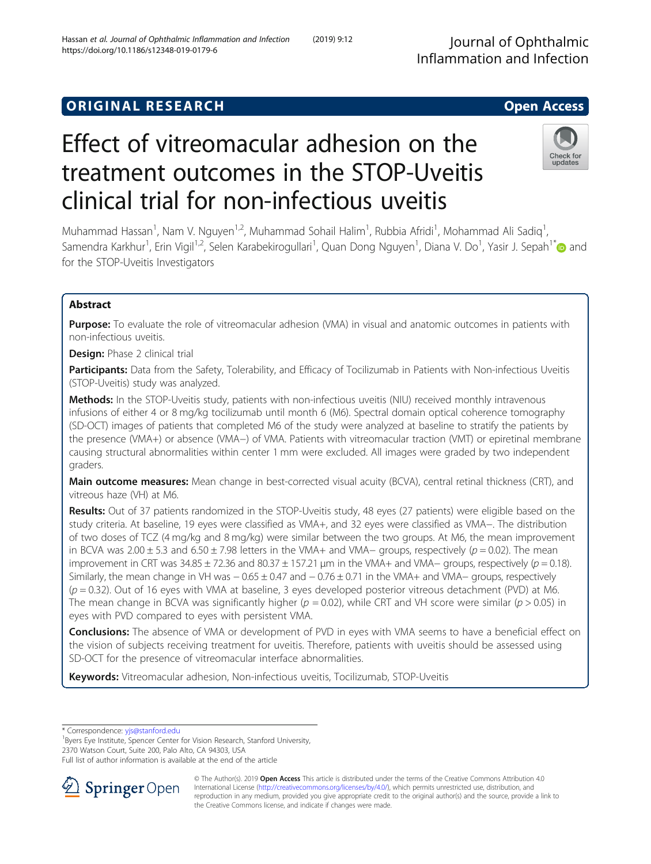# **ORIGINAL RESEARCH CONSUMING ACCESS**

# Effect of vitreomacular adhesion on the treatment outcomes in the STOP-Uveitis clinical trial for non-infectious uveitis

Muhammad Hassan<sup>1</sup>, Nam V. Nguyen<sup>1,2</sup>, Muhammad Sohail Halim<sup>1</sup>, Rubbia Afridi<sup>1</sup>, Mohammad Ali Sadiq<sup>1</sup> , Samendra Karkhur<sup>1</sup>, Erin Vigil<sup>1,2</sup>, Selen Karabekirogullari<sup>1</sup>, Quan Dong Nguyen<sup>1</sup>, Diana V. Do<sup>1</sup>, Yasir J. Sepah<sup>1[\\*](http://orcid.org/0000-0002-0104-6284)</sup>@ and for the STOP-Uveitis Investigators

# Abstract

**Purpose:** To evaluate the role of vitreomacular adhesion (VMA) in visual and anatomic outcomes in patients with non-infectious uveitis.

Design: Phase 2 clinical trial

Participants: Data from the Safety, Tolerability, and Efficacy of Tocilizumab in Patients with Non-infectious Uveitis (STOP-Uveitis) study was analyzed.

Methods: In the STOP-Uveitis study, patients with non-infectious uveitis (NIU) received monthly intravenous infusions of either 4 or 8 mg/kg tocilizumab until month 6 (M6). Spectral domain optical coherence tomography (SD-OCT) images of patients that completed M6 of the study were analyzed at baseline to stratify the patients by the presence (VMA+) or absence (VMA−) of VMA. Patients with vitreomacular traction (VMT) or epiretinal membrane causing structural abnormalities within center 1 mm were excluded. All images were graded by two independent graders.

Main outcome measures: Mean change in best-corrected visual acuity (BCVA), central retinal thickness (CRT), and vitreous haze (VH) at M6.

Results: Out of 37 patients randomized in the STOP-Uveitis study, 48 eyes (27 patients) were eligible based on the study criteria. At baseline, 19 eyes were classified as VMA+, and 32 eyes were classified as VMA−. The distribution of two doses of TCZ (4 mg/kg and 8 mg/kg) were similar between the two groups. At M6, the mean improvement in BCVA was  $2.00 \pm 5.3$  and  $6.50 \pm 7.98$  letters in the VMA+ and VMA– groups, respectively ( $p = 0.02$ ). The mean improvement in CRT was  $34.85 \pm 72.36$  and  $80.37 \pm 157.21$  µm in the VMA+ and VMA- groups, respectively ( $p = 0.18$ ). Similarly, the mean change in VH was − 0.65 ± 0.47 and − 0.76 ± 0.71 in the VMA+ and VMA− groups, respectively  $(p = 0.32)$ . Out of 16 eyes with VMA at baseline, 3 eyes developed posterior vitreous detachment (PVD) at M6. The mean change in BCVA was significantly higher ( $p = 0.02$ ), while CRT and VH score were similar ( $p > 0.05$ ) in eyes with PVD compared to eyes with persistent VMA.

Conclusions: The absence of VMA or development of PVD in eyes with VMA seems to have a beneficial effect on the vision of subjects receiving treatment for uveitis. Therefore, patients with uveitis should be assessed using SD-OCT for the presence of vitreomacular interface abnormalities.

Keywords: Vitreomacular adhesion, Non-infectious uveitis, Tocilizumab, STOP-Uveitis

\* Correspondence: [yjs@stanford.edu](mailto:yjs@stanford.edu) <sup>1</sup>

<sup>1</sup>Byers Eye Institute, Spencer Center for Vision Research, Stanford University,

2370 Watson Court, Suite 200, Palo Alto, CA 94303, USA

Full list of author information is available at the end of the article



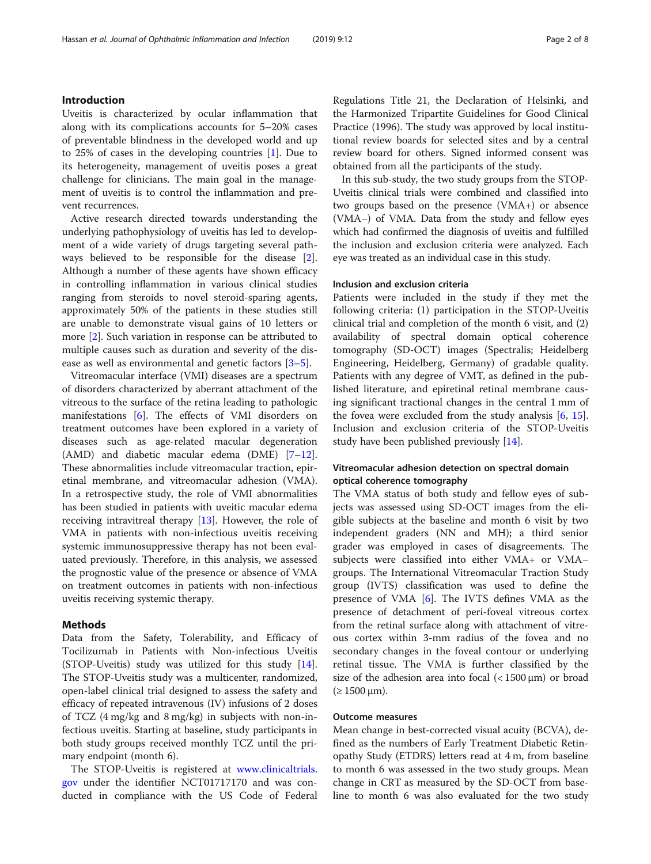Uveitis is characterized by ocular inflammation that along with its complications accounts for 5–20% cases of preventable blindness in the developed world and up to 25% of cases in the developing countries [\[1](#page-6-0)]. Due to its heterogeneity, management of uveitis poses a great challenge for clinicians. The main goal in the management of uveitis is to control the inflammation and prevent recurrences.

Active research directed towards understanding the underlying pathophysiology of uveitis has led to development of a wide variety of drugs targeting several pathways believed to be responsible for the disease [\[2](#page-6-0)]. Although a number of these agents have shown efficacy in controlling inflammation in various clinical studies ranging from steroids to novel steroid-sparing agents, approximately 50% of the patients in these studies still are unable to demonstrate visual gains of 10 letters or more [\[2](#page-6-0)]. Such variation in response can be attributed to multiple causes such as duration and severity of the disease as well as environmental and genetic factors [\[3](#page-6-0)–[5\]](#page-7-0).

Vitreomacular interface (VMI) diseases are a spectrum of disorders characterized by aberrant attachment of the vitreous to the surface of the retina leading to pathologic manifestations [\[6](#page-7-0)]. The effects of VMI disorders on treatment outcomes have been explored in a variety of diseases such as age-related macular degeneration (AMD) and diabetic macular edema (DME) [[7](#page-7-0)–[12](#page-7-0)]. These abnormalities include vitreomacular traction, epiretinal membrane, and vitreomacular adhesion (VMA). In a retrospective study, the role of VMI abnormalities has been studied in patients with uveitic macular edema receiving intravitreal therapy [\[13\]](#page-7-0). However, the role of VMA in patients with non-infectious uveitis receiving systemic immunosuppressive therapy has not been evaluated previously. Therefore, in this analysis, we assessed the prognostic value of the presence or absence of VMA on treatment outcomes in patients with non-infectious uveitis receiving systemic therapy.

#### Methods

Data from the Safety, Tolerability, and Efficacy of Tocilizumab in Patients with Non-infectious Uveitis (STOP-Uveitis) study was utilized for this study  $[14]$  $[14]$ . The STOP-Uveitis study was a multicenter, randomized, open-label clinical trial designed to assess the safety and efficacy of repeated intravenous (IV) infusions of 2 doses of TCZ (4 mg/kg and 8 mg/kg) in subjects with non-infectious uveitis. Starting at baseline, study participants in both study groups received monthly TCZ until the primary endpoint (month 6).

The STOP-Uveitis is registered at [www.clinicaltrials.](https://clinicaltrials.gov/ct2/show/NCT01717170) [gov](https://clinicaltrials.gov/ct2/show/NCT01717170) under the identifier NCT01717170 and was conducted in compliance with the US Code of Federal Regulations Title 21, the Declaration of Helsinki, and the Harmonized Tripartite Guidelines for Good Clinical Practice (1996). The study was approved by local institutional review boards for selected sites and by a central review board for others. Signed informed consent was obtained from all the participants of the study.

In this sub-study, the two study groups from the STOP-Uveitis clinical trials were combined and classified into two groups based on the presence (VMA+) or absence (VMA−) of VMA. Data from the study and fellow eyes which had confirmed the diagnosis of uveitis and fulfilled the inclusion and exclusion criteria were analyzed. Each eye was treated as an individual case in this study.

#### Inclusion and exclusion criteria

Patients were included in the study if they met the following criteria: (1) participation in the STOP-Uveitis clinical trial and completion of the month 6 visit, and (2) availability of spectral domain optical coherence tomography (SD-OCT) images (Spectralis; Heidelberg Engineering, Heidelberg, Germany) of gradable quality. Patients with any degree of VMT, as defined in the published literature, and epiretinal retinal membrane causing significant tractional changes in the central 1 mm of the fovea were excluded from the study analysis  $[6, 15]$  $[6, 15]$  $[6, 15]$  $[6, 15]$  $[6, 15]$ . Inclusion and exclusion criteria of the STOP-Uveitis study have been published previously [\[14](#page-7-0)].

### Vitreomacular adhesion detection on spectral domain optical coherence tomography

The VMA status of both study and fellow eyes of subjects was assessed using SD-OCT images from the eligible subjects at the baseline and month 6 visit by two independent graders (NN and MH); a third senior grader was employed in cases of disagreements. The subjects were classified into either VMA+ or VMA− groups. The International Vitreomacular Traction Study group (IVTS) classification was used to define the presence of VMA [\[6\]](#page-7-0). The IVTS defines VMA as the presence of detachment of peri-foveal vitreous cortex from the retinal surface along with attachment of vitreous cortex within 3-mm radius of the fovea and no secondary changes in the foveal contour or underlying retinal tissue. The VMA is further classified by the size of the adhesion area into focal  $\left($  < 1500  $\mu$ m) or broad  $(≥ 1500 μm).$ 

#### Outcome measures

Mean change in best-corrected visual acuity (BCVA), defined as the numbers of Early Treatment Diabetic Retinopathy Study (ETDRS) letters read at 4 m, from baseline to month 6 was assessed in the two study groups. Mean change in CRT as measured by the SD-OCT from baseline to month 6 was also evaluated for the two study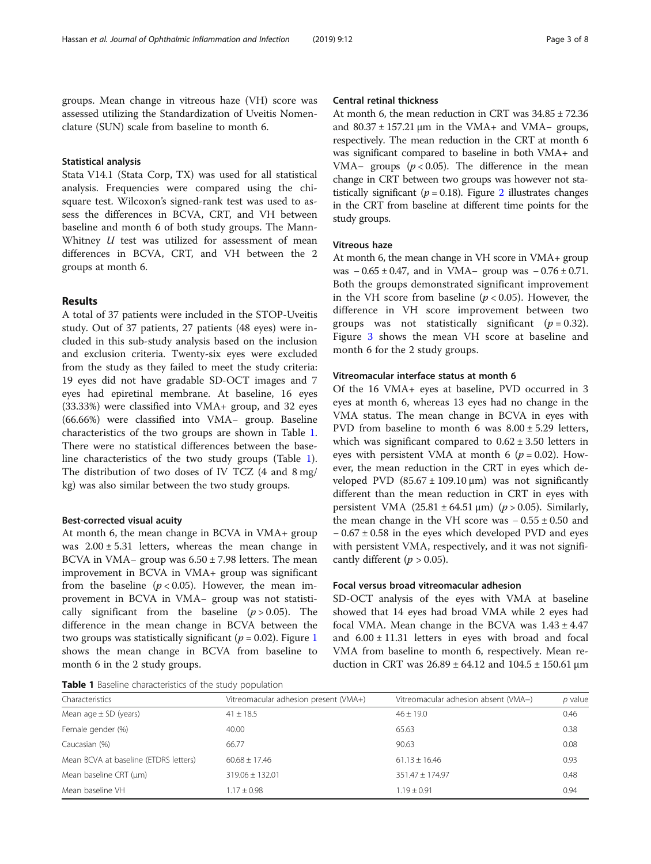groups. Mean change in vitreous haze (VH) score was assessed utilizing the Standardization of Uveitis Nomenclature (SUN) scale from baseline to month 6.

#### Statistical analysis

Stata V14.1 (Stata Corp, TX) was used for all statistical analysis. Frequencies were compared using the chisquare test. Wilcoxon's signed-rank test was used to assess the differences in BCVA, CRT, and VH between baseline and month 6 of both study groups. The Mann-Whitney  $U$  test was utilized for assessment of mean differences in BCVA, CRT, and VH between the 2 groups at month 6.

#### Results

A total of 37 patients were included in the STOP-Uveitis study. Out of 37 patients, 27 patients (48 eyes) were included in this sub-study analysis based on the inclusion and exclusion criteria. Twenty-six eyes were excluded from the study as they failed to meet the study criteria: 19 eyes did not have gradable SD-OCT images and 7 eyes had epiretinal membrane. At baseline, 16 eyes (33.33%) were classified into VMA+ group, and 32 eyes (66.66%) were classified into VMA− group. Baseline characteristics of the two groups are shown in Table 1. There were no statistical differences between the baseline characteristics of the two study groups (Table 1). The distribution of two doses of IV TCZ (4 and 8 mg/ kg) was also similar between the two study groups.

#### Best-corrected visual acuity

At month 6, the mean change in BCVA in VMA+ group was  $2.00 \pm 5.31$  letters, whereas the mean change in BCVA in VMA− group was 6.50 ± 7.98 letters. The mean improvement in BCVA in VMA+ group was significant from the baseline ( $p < 0.05$ ). However, the mean improvement in BCVA in VMA− group was not statistically significant from the baseline  $(p > 0.05)$ . The difference in the mean change in BCVA between the two groups was statistically significant ( $p = 0.02$ ). Figure [1](#page-3-0) shows the mean change in BCVA from baseline to month 6 in the 2 study groups.

| Table 1 Baseline characteristics of the study population |  |  |  |
|----------------------------------------------------------|--|--|--|
|----------------------------------------------------------|--|--|--|

#### Central retinal thickness

At month 6, the mean reduction in CRT was 34.85 ± 72.36 and  $80.37 \pm 157.21$  µm in the VMA+ and VMA- groups, respectively. The mean reduction in the CRT at month 6 was significant compared to baseline in both VMA+ and VMA– groups ( $p < 0.05$ ). The difference in the mean change in CRT between two groups was however not statistically significant ( $p = 0.18$ ). Figure [2](#page-3-0) illustrates changes in the CRT from baseline at different time points for the study groups.

#### Vitreous haze

At month 6, the mean change in VH score in VMA+ group was − 0.65 ± 0.47, and in VMA− group was − 0.76 ± 0.71. Both the groups demonstrated significant improvement in the VH score from baseline ( $p < 0.05$ ). However, the difference in VH score improvement between two groups was not statistically significant  $(p = 0.32)$ . Figure [3](#page-4-0) shows the mean VH score at baseline and month 6 for the 2 study groups.

#### Vitreomacular interface status at month 6

Of the 16 VMA+ eyes at baseline, PVD occurred in 3 eyes at month 6, whereas 13 eyes had no change in the VMA status. The mean change in BCVA in eyes with PVD from baseline to month 6 was  $8.00 \pm 5.29$  letters, which was significant compared to  $0.62 \pm 3.50$  letters in eyes with persistent VMA at month 6 ( $p = 0.02$ ). However, the mean reduction in the CRT in eyes which developed PVD  $(85.67 \pm 109.10 \,\mu m)$  was not significantly different than the mean reduction in CRT in eyes with persistent VMA  $(25.81 \pm 64.51 \,\mu m)$   $(p > 0.05)$ . Similarly, the mean change in the VH score was  $-0.55 \pm 0.50$  and − 0.67 ± 0.58 in the eyes which developed PVD and eyes with persistent VMA, respectively, and it was not significantly different ( $p > 0.05$ ).

#### Focal versus broad vitreomacular adhesion

SD-OCT analysis of the eyes with VMA at baseline showed that 14 eyes had broad VMA while 2 eyes had focal VMA. Mean change in the BCVA was  $1.43 \pm 4.47$ and  $6.00 \pm 11.31$  letters in eyes with broad and focal VMA from baseline to month 6, respectively. Mean reduction in CRT was  $26.89 \pm 64.12$  and  $104.5 \pm 150.61$  μm

| Characteristics                       | Vitreomacular adhesion present (VMA+) | Vitreomacular adhesion absent (VMA-) | p value |
|---------------------------------------|---------------------------------------|--------------------------------------|---------|
| Mean age $\pm$ SD (years)             | $41 \pm 18.5$                         | $46 + 19.0$                          | 0.46    |
| Female gender (%)                     | 40.00                                 | 65.63                                | 0.38    |
| Caucasian (%)                         | 66.77                                 | 90.63                                | 0.08    |
| Mean BCVA at baseline (ETDRS letters) | $60.68 \pm 17.46$                     | $61.13 \pm 16.46$                    | 0.93    |
| Mean baseline CRT (µm)                | $319.06 \pm 132.01$                   | $351.47 + 174.97$                    | 0.48    |
| Mean baseline VH                      | $1.17 \pm 0.98$                       | $1.19 + 0.91$                        | 0.94    |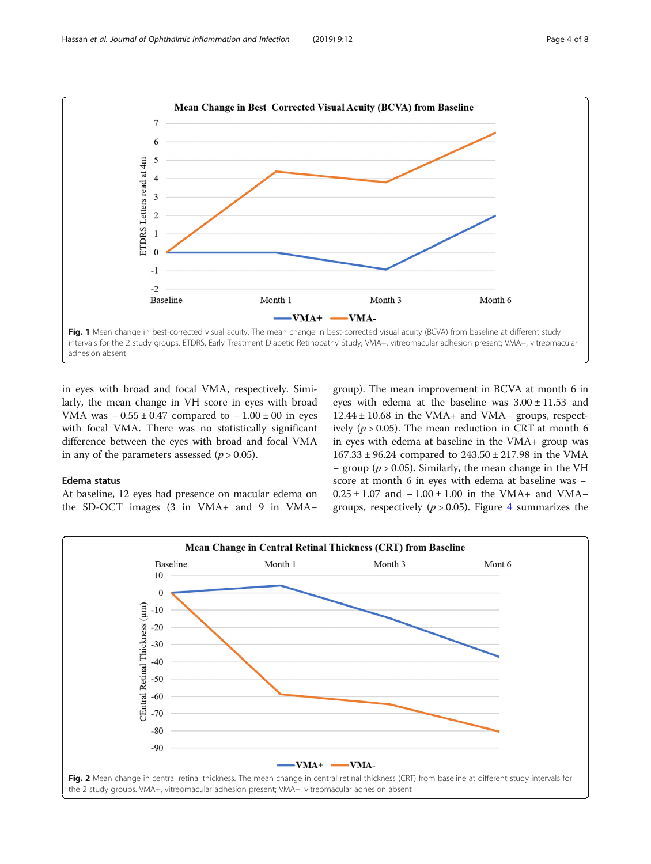<span id="page-3-0"></span>

in eyes with broad and focal VMA, respectively. Similarly, the mean change in VH score in eyes with broad VMA was  $-0.55 \pm 0.47$  compared to  $-1.00 \pm 00$  in eyes with focal VMA. There was no statistically significant difference between the eyes with broad and focal VMA in any of the parameters assessed ( $p > 0.05$ ).

#### Edema status

At baseline, 12 eyes had presence on macular edema on the SD-OCT images (3 in VMA+ and 9 in VMA−

group). The mean improvement in BCVA at month 6 in eyes with edema at the baseline was  $3.00 \pm 11.53$  and 12.44 ± 10.68 in the VMA+ and VMA− groups, respectively ( $p > 0.05$ ). The mean reduction in CRT at month 6 in eyes with edema at baseline in the VMA+ group was 167.33 ± 96.24 compared to 243.50 ± 217.98 in the VMA  $-$  group ( $p > 0.05$ ). Similarly, the mean change in the VH score at month 6 in eyes with edema at baseline was − 0.25 ± 1.07 and − 1.00 ± 1.00 in the VMA+ and VMA− groups, respectively ( $p > 0.05$ ). Figure [4](#page-4-0) summarizes the

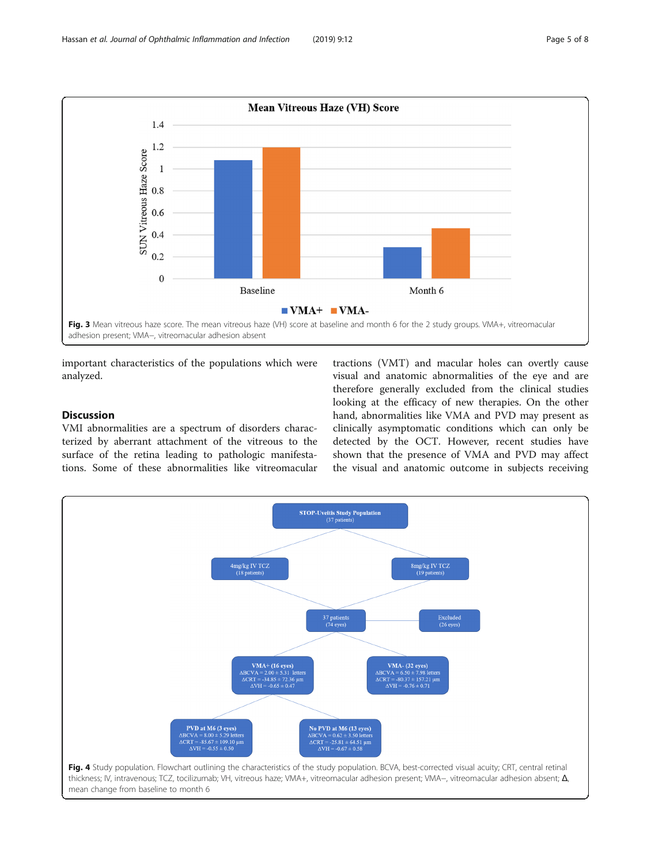<span id="page-4-0"></span>

important characteristics of the populations which were analyzed.

#### **Discussion**

VMI abnormalities are a spectrum of disorders characterized by aberrant attachment of the vitreous to the surface of the retina leading to pathologic manifestations. Some of these abnormalities like vitreomacular

tractions (VMT) and macular holes can overtly cause visual and anatomic abnormalities of the eye and are therefore generally excluded from the clinical studies looking at the efficacy of new therapies. On the other hand, abnormalities like VMA and PVD may present as clinically asymptomatic conditions which can only be detected by the OCT. However, recent studies have shown that the presence of VMA and PVD may affect the visual and anatomic outcome in subjects receiving

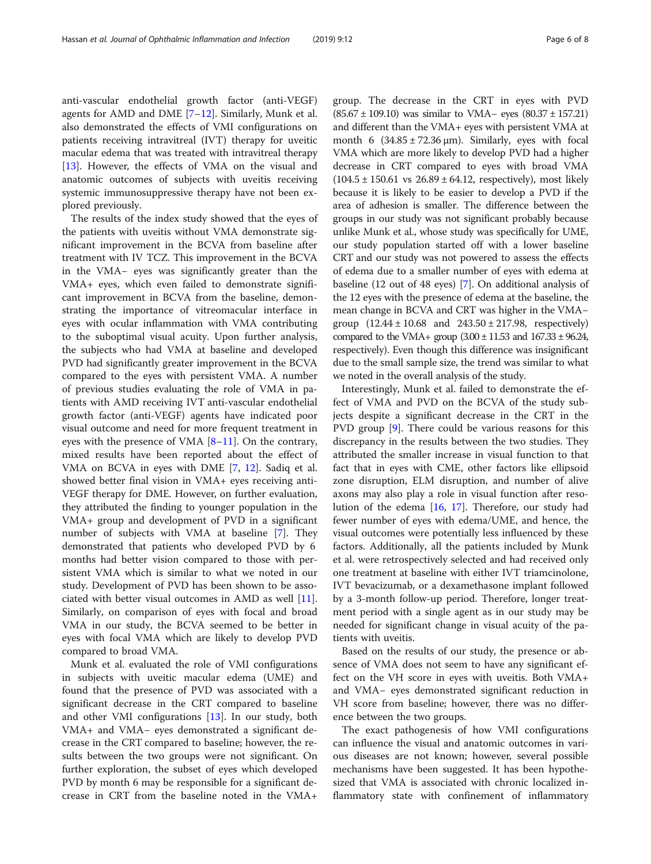anti-vascular endothelial growth factor (anti-VEGF) agents for AMD and DME [[7](#page-7-0)–[12\]](#page-7-0). Similarly, Munk et al. also demonstrated the effects of VMI configurations on patients receiving intravitreal (IVT) therapy for uveitic macular edema that was treated with intravitreal therapy [[13\]](#page-7-0). However, the effects of VMA on the visual and anatomic outcomes of subjects with uveitis receiving systemic immunosuppressive therapy have not been explored previously.

The results of the index study showed that the eyes of the patients with uveitis without VMA demonstrate significant improvement in the BCVA from baseline after treatment with IV TCZ. This improvement in the BCVA in the VMA− eyes was significantly greater than the VMA+ eyes, which even failed to demonstrate significant improvement in BCVA from the baseline, demonstrating the importance of vitreomacular interface in eyes with ocular inflammation with VMA contributing to the suboptimal visual acuity. Upon further analysis, the subjects who had VMA at baseline and developed PVD had significantly greater improvement in the BCVA compared to the eyes with persistent VMA. A number of previous studies evaluating the role of VMA in patients with AMD receiving IVT anti-vascular endothelial growth factor (anti-VEGF) agents have indicated poor visual outcome and need for more frequent treatment in eyes with the presence of VMA  $[8-11]$  $[8-11]$  $[8-11]$  $[8-11]$ . On the contrary, mixed results have been reported about the effect of VMA on BCVA in eyes with DME [[7,](#page-7-0) [12\]](#page-7-0). Sadiq et al. showed better final vision in VMA+ eyes receiving anti-VEGF therapy for DME. However, on further evaluation, they attributed the finding to younger population in the VMA+ group and development of PVD in a significant number of subjects with VMA at baseline [[7\]](#page-7-0). They demonstrated that patients who developed PVD by 6 months had better vision compared to those with persistent VMA which is similar to what we noted in our study. Development of PVD has been shown to be associated with better visual outcomes in AMD as well [\[11](#page-7-0)]. Similarly, on comparison of eyes with focal and broad VMA in our study, the BCVA seemed to be better in eyes with focal VMA which are likely to develop PVD compared to broad VMA.

Munk et al. evaluated the role of VMI configurations in subjects with uveitic macular edema (UME) and found that the presence of PVD was associated with a significant decrease in the CRT compared to baseline and other VMI configurations [\[13\]](#page-7-0). In our study, both VMA+ and VMA− eyes demonstrated a significant decrease in the CRT compared to baseline; however, the results between the two groups were not significant. On further exploration, the subset of eyes which developed PVD by month 6 may be responsible for a significant decrease in CRT from the baseline noted in the VMA+

group. The decrease in the CRT in eyes with PVD (85.67 ± 109.10) was similar to VMA− eyes (80.37 ± 157.21) and different than the VMA+ eyes with persistent VMA at month 6  $(34.85 \pm 72.36 \,\mu m)$ . Similarly, eyes with focal VMA which are more likely to develop PVD had a higher decrease in CRT compared to eyes with broad VMA  $(104.5 \pm 150.61 \text{ vs } 26.89 \pm 64.12, \text{ respectively})$ , most likely because it is likely to be easier to develop a PVD if the area of adhesion is smaller. The difference between the groups in our study was not significant probably because unlike Munk et al., whose study was specifically for UME, our study population started off with a lower baseline CRT and our study was not powered to assess the effects of edema due to a smaller number of eyes with edema at baseline (12 out of 48 eyes) [[7\]](#page-7-0). On additional analysis of the 12 eyes with the presence of edema at the baseline, the mean change in BCVA and CRT was higher in the VMA− group  $(12.44 \pm 10.68)$  and  $243.50 \pm 217.98$ , respectively) compared to the VMA+ group  $(3.00 \pm 11.53 \text{ and } 167.33 \pm 96.24,$ respectively). Even though this difference was insignificant due to the small sample size, the trend was similar to what we noted in the overall analysis of the study.

Interestingly, Munk et al. failed to demonstrate the effect of VMA and PVD on the BCVA of the study subjects despite a significant decrease in the CRT in the PVD group [[9\]](#page-7-0). There could be various reasons for this discrepancy in the results between the two studies. They attributed the smaller increase in visual function to that fact that in eyes with CME, other factors like ellipsoid zone disruption, ELM disruption, and number of alive axons may also play a role in visual function after resolution of the edema [[16](#page-7-0), [17\]](#page-7-0). Therefore, our study had fewer number of eyes with edema/UME, and hence, the visual outcomes were potentially less influenced by these factors. Additionally, all the patients included by Munk et al. were retrospectively selected and had received only one treatment at baseline with either IVT triamcinolone, IVT bevacizumab, or a dexamethasone implant followed by a 3-month follow-up period. Therefore, longer treatment period with a single agent as in our study may be needed for significant change in visual acuity of the patients with uveitis.

Based on the results of our study, the presence or absence of VMA does not seem to have any significant effect on the VH score in eyes with uveitis. Both VMA+ and VMA− eyes demonstrated significant reduction in VH score from baseline; however, there was no difference between the two groups.

The exact pathogenesis of how VMI configurations can influence the visual and anatomic outcomes in various diseases are not known; however, several possible mechanisms have been suggested. It has been hypothesized that VMA is associated with chronic localized inflammatory state with confinement of inflammatory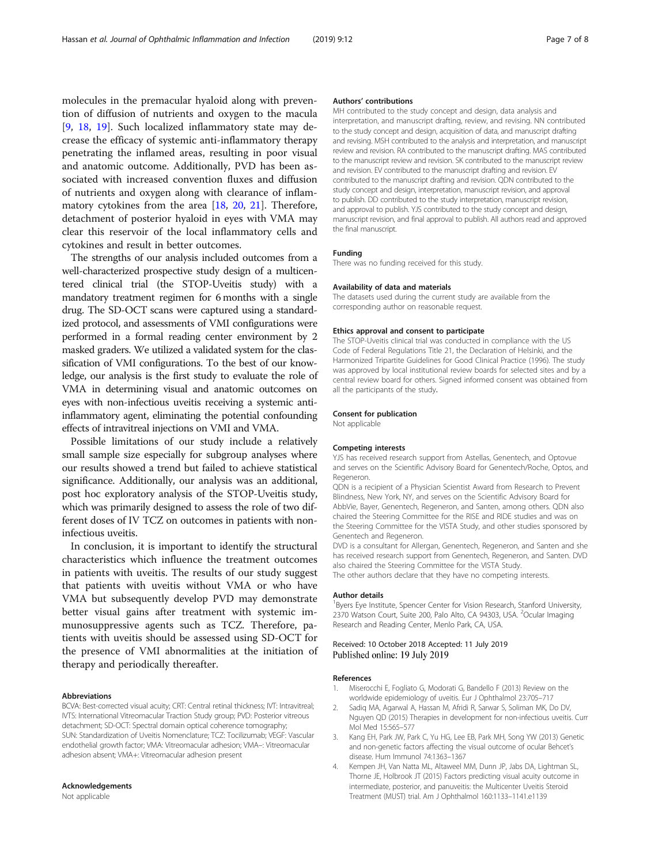<span id="page-6-0"></span>molecules in the premacular hyaloid along with prevention of diffusion of nutrients and oxygen to the macula [[9,](#page-7-0) [18](#page-7-0), [19\]](#page-7-0). Such localized inflammatory state may decrease the efficacy of systemic anti-inflammatory therapy penetrating the inflamed areas, resulting in poor visual and anatomic outcome. Additionally, PVD has been associated with increased convention fluxes and diffusion of nutrients and oxygen along with clearance of inflammatory cytokines from the area [[18,](#page-7-0) [20,](#page-7-0) [21\]](#page-7-0). Therefore, detachment of posterior hyaloid in eyes with VMA may clear this reservoir of the local inflammatory cells and cytokines and result in better outcomes.

The strengths of our analysis included outcomes from a well-characterized prospective study design of a multicentered clinical trial (the STOP-Uveitis study) with a mandatory treatment regimen for 6 months with a single drug. The SD-OCT scans were captured using a standardized protocol, and assessments of VMI configurations were performed in a formal reading center environment by 2 masked graders. We utilized a validated system for the classification of VMI configurations. To the best of our knowledge, our analysis is the first study to evaluate the role of VMA in determining visual and anatomic outcomes on eyes with non-infectious uveitis receiving a systemic antiinflammatory agent, eliminating the potential confounding effects of intravitreal injections on VMI and VMA.

Possible limitations of our study include a relatively small sample size especially for subgroup analyses where our results showed a trend but failed to achieve statistical significance. Additionally, our analysis was an additional, post hoc exploratory analysis of the STOP-Uveitis study, which was primarily designed to assess the role of two different doses of IV TCZ on outcomes in patients with noninfectious uveitis.

In conclusion, it is important to identify the structural characteristics which influence the treatment outcomes in patients with uveitis. The results of our study suggest that patients with uveitis without VMA or who have VMA but subsequently develop PVD may demonstrate better visual gains after treatment with systemic immunosuppressive agents such as TCZ. Therefore, patients with uveitis should be assessed using SD-OCT for the presence of VMI abnormalities at the initiation of therapy and periodically thereafter.

#### Abbreviations

BCVA: Best-corrected visual acuity; CRT: Central retinal thickness; IVT: Intravitreal; IVTS: International Vitreomacular Traction Study group; PVD: Posterior vitreous detachment; SD-OCT: Spectral domain optical coherence tomography; SUN: Standardization of Uveitis Nomenclature; TCZ: Tocilizumab; VEGF: Vascular endothelial growth factor; VMA: Vitreomacular adhesion; VMA–: Vitreomacular adhesion absent; VMA+: Vitreomacular adhesion present

#### Acknowledgements

Not applicable

#### Authors' contributions

MH contributed to the study concept and design, data analysis and interpretation, and manuscript drafting, review, and revising. NN contributed to the study concept and design, acquisition of data, and manuscript drafting and revising. MSH contributed to the analysis and interpretation, and manuscript review and revision. RA contributed to the manuscript drafting. MAS contributed to the manuscript review and revision. SK contributed to the manuscript review and revision. EV contributed to the manuscript drafting and revision. EV contributed to the manuscript drafting and revision. QDN contributed to the study concept and design, interpretation, manuscript revision, and approval to publish. DD contributed to the study interpretation, manuscript revision, and approval to publish. YJS contributed to the study concept and design, manuscript revision, and final approval to publish. All authors read and approved the final manuscript.

#### Funding

There was no funding received for this study.

#### Availability of data and materials

The datasets used during the current study are available from the corresponding author on reasonable request.

#### Ethics approval and consent to participate

The STOP-Uveitis clinical trial was conducted in compliance with the US Code of Federal Regulations Title 21, the Declaration of Helsinki, and the Harmonized Tripartite Guidelines for Good Clinical Practice (1996). The study was approved by local institutional review boards for selected sites and by a central review board for others. Signed informed consent was obtained from all the participants of the study.

#### Consent for publication

Not applicable

#### Competing interests

YJS has received research support from Astellas, Genentech, and Optovue and serves on the Scientific Advisory Board for Genentech/Roche, Optos, and Regeneron.

QDN is a recipient of a Physician Scientist Award from Research to Prevent Blindness, New York, NY, and serves on the Scientific Advisory Board for AbbVie, Bayer, Genentech, Regeneron, and Santen, among others. QDN also chaired the Steering Committee for the RISE and RIDE studies and was on the Steering Committee for the VISTA Study, and other studies sponsored by Genentech and Regeneron.

DVD is a consultant for Allergan, Genentech, Regeneron, and Santen and she has received research support from Genentech, Regeneron, and Santen. DVD also chaired the Steering Committee for the VISTA Study. The other authors declare that they have no competing interests.

#### Author details

<sup>1</sup>Byers Eye Institute, Spencer Center for Vision Research, Stanford University 2370 Watson Court, Suite 200, Palo Alto, CA 94303, USA. <sup>2</sup>Ocular Imaging Research and Reading Center, Menlo Park, CA, USA.

#### Received: 10 October 2018 Accepted: 11 July 2019 Published online: 19 July 2019

#### References

- 1. Miserocchi E, Fogliato G, Modorati G, Bandello F (2013) Review on the worldwide epidemiology of uveitis. Eur J Ophthalmol 23:705–717
- 2. Sadiq MA, Agarwal A, Hassan M, Afridi R, Sarwar S, Soliman MK, Do DV, Nguyen QD (2015) Therapies in development for non-infectious uveitis. Curr Mol Med 15:565–577
- 3. Kang EH, Park JW, Park C, Yu HG, Lee EB, Park MH, Song YW (2013) Genetic and non-genetic factors affecting the visual outcome of ocular Behcet's disease. Hum Immunol 74:1363–1367
- 4. Kempen JH, Van Natta ML, Altaweel MM, Dunn JP, Jabs DA, Lightman SL, Thorne JE, Holbrook JT (2015) Factors predicting visual acuity outcome in intermediate, posterior, and panuveitis: the Multicenter Uveitis Steroid Treatment (MUST) trial. Am J Ophthalmol 160:1133–1141.e1139